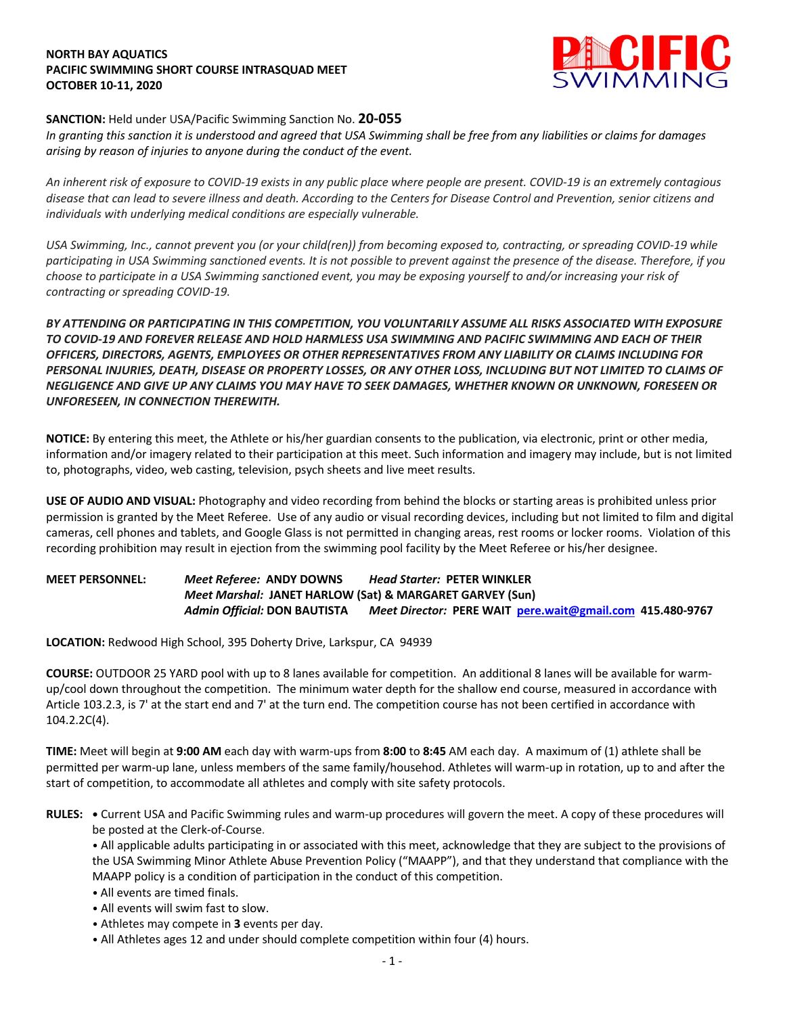#### **NORTH BAY AQUATICS PACIFIC SWIMMING SHORT COURSE INTRASQUAD MEET OCTOBER 10-11, 2020**



## **SANCTION:** Held under USA/Pacific Swimming Sanction No. **20-055**

*In granting this sanction it is understood and agreed that USA Swimming shall be free from any liabilities or claims for damages arising by reason of injuries to anyone during the conduct of the event.* 

*An inherent risk of exposure to COVID-19 exists in any public place where people are present. COVID-19 is an extremely contagious disease that can lead to severe illness and death. According to the Centers for Disease Control and Prevention, senior citizens and individuals with underlying medical conditions are especially vulnerable.*

*USA Swimming, Inc., cannot prevent you (or your child(ren)) from becoming exposed to, contracting, or spreading COVID-19 while participating in USA Swimming sanctioned events. It is not possible to prevent against the presence of the disease. Therefore, if you choose to participate in a USA Swimming sanctioned event, you may be exposing yourself to and/or increasing your risk of contracting or spreading COVID-19.*

*BY ATTENDING OR PARTICIPATING IN THIS COMPETITION, YOU VOLUNTARILY ASSUME ALL RISKS ASSOCIATED WITH EXPOSURE TO COVID-19 AND FOREVER RELEASE AND HOLD HARMLESS USA SWIMMING AND PACIFIC SWIMMING AND EACH OF THEIR OFFICERS, DIRECTORS, AGENTS, EMPLOYEES OR OTHER REPRESENTATIVES FROM ANY LIABILITY OR CLAIMS INCLUDING FOR PERSONAL INJURIES, DEATH, DISEASE OR PROPERTY LOSSES, OR ANY OTHER LOSS, INCLUDING BUT NOT LIMITED TO CLAIMS OF NEGLIGENCE AND GIVE UP ANY CLAIMS YOU MAY HAVE TO SEEK DAMAGES, WHETHER KNOWN OR UNKNOWN, FORESEEN OR UNFORESEEN, IN CONNECTION THEREWITH.*

**NOTICE:** By entering this meet, the Athlete or his/her guardian consents to the publication, via electronic, print or other media, information and/or imagery related to their participation at this meet. Such information and imagery may include, but is not limited to, photographs, video, web casting, television, psych sheets and live meet results.

**USE OF AUDIO AND VISUAL:** Photography and video recording from behind the blocks or starting areas is prohibited unless prior permission is granted by the Meet Referee. Use of any audio or visual recording devices, including but not limited to film and digital cameras, cell phones and tablets, and Google Glass is not permitted in changing areas, rest rooms or locker rooms. Violation of this recording prohibition may result in ejection from the swimming pool facility by the Meet Referee or his/her designee.

# **MEET PERSONNEL:** *Meet Referee:* **ANDY DOWNS** *Head Starter:* **PETER WINKLER** *Meet Marshal:* **JANET HARLOW (Sat) & MARGARET GARVEY (Sun)** *Admin Official:* **DON BAUTISTA** *Meet Director:* **PERE WAIT pere.wait@gmail.com 415.480-9767**

**LOCATION:** Redwood High School, 395 Doherty Drive, Larkspur, CA 94939

**COURSE:** OUTDOOR 25 YARD pool with up to 8 lanes available for competition.An additional 8 lanes will be available for warmup/cool down throughout the competition. The minimum water depth for the shallow end course, measured in accordance with Article 103.2.3, is 7' at the start end and 7' at the turn end. The competition course has not been certified in accordance with 104.2.2C(4).

**TIME:** Meet will begin at **9:00 AM** each day with warm-ups from **8:00** to **8:45** AM each day. A maximum of (1) athlete shall be permitted per warm-up lane, unless members of the same family/househod. Athletes will warm-up in rotation, up to and after the start of competition, to accommodate all athletes and comply with site safety protocols.

**RULES: •** Current USA and Pacific Swimming rules and warm-up procedures will govern the meet. A copy of these procedures will be posted at the Clerk-of-Course.

• All applicable adults participating in or associated with this meet, acknowledge that they are subject to the provisions of the USA Swimming Minor Athlete Abuse Prevention Policy ("MAAPP"), and that they understand that compliance with the MAAPP policy is a condition of participation in the conduct of this competition.

- All events are timed finals.
- All events will swim fast to slow.
- Athletes may compete in **3** events per day.
- All Athletes ages 12 and under should complete competition within four (4) hours.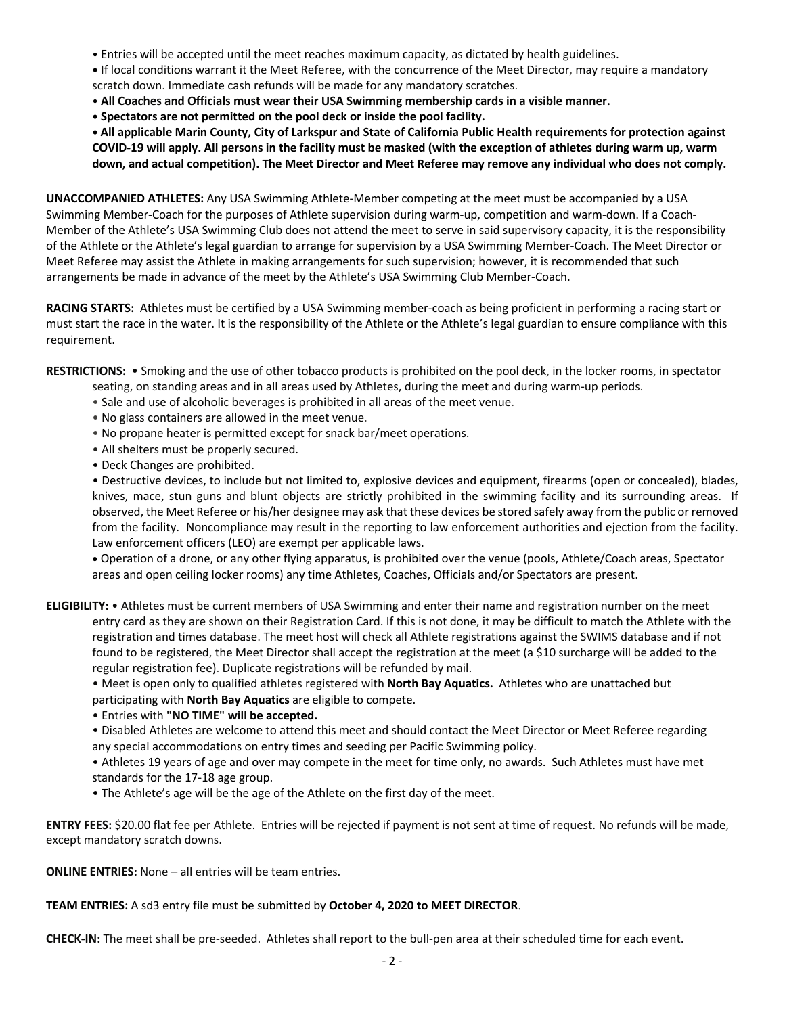- Entries will be accepted until the meet reaches maximum capacity, as dictated by health guidelines.
- **•** If local conditions warrant it the Meet Referee, with the concurrence of the Meet Director, may require a mandatory scratch down. Immediate cash refunds will be made for any mandatory scratches.
- **All Coaches and Officials must wear their USA Swimming membership cards in a visible manner.**
- **• Spectators are not permitted on the pool deck or inside the pool facility.**

**• All applicable Marin County, City of Larkspur and State of California Public Health requirements for protection against COVID-19 will apply. All persons in the facility must be masked (with the exception of athletes during warm up, warm down, and actual competition). The Meet Director and Meet Referee may remove any individual who does not comply.** 

**UNACCOMPANIED ATHLETES:** Any USA Swimming Athlete-Member competing at the meet must be accompanied by a USA Swimming Member-Coach for the purposes of Athlete supervision during warm-up, competition and warm-down. If a Coach-Member of the Athlete's USA Swimming Club does not attend the meet to serve in said supervisory capacity, it is the responsibility of the Athlete or the Athlete's legal guardian to arrange for supervision by a USA Swimming Member-Coach. The Meet Director or Meet Referee may assist the Athlete in making arrangements for such supervision; however, it is recommended that such arrangements be made in advance of the meet by the Athlete's USA Swimming Club Member-Coach.

**RACING STARTS:** Athletes must be certified by a USA Swimming member-coach as being proficient in performing a racing start or must start the race in the water. It is the responsibility of the Athlete or the Athlete's legal guardian to ensure compliance with this requirement.

**RESTRICTIONS:** • Smoking and the use of other tobacco products is prohibited on the pool deck, in the locker rooms, in spectator seating, on standing areas and in all areas used by Athletes, during the meet and during warm-up periods.

- Sale and use of alcoholic beverages is prohibited in all areas of the meet venue.
- No glass containers are allowed in the meet venue.
- No propane heater is permitted except for snack bar/meet operations.
- All shelters must be properly secured.
- Deck Changes are prohibited.

• Destructive devices, to include but not limited to, explosive devices and equipment, firearms (open or concealed), blades, knives, mace, stun guns and blunt objects are strictly prohibited in the swimming facility and its surrounding areas. If observed, the Meet Referee or his/her designee may ask that these devices be stored safely away from the public or removed from the facility. Noncompliance may result in the reporting to law enforcement authorities and ejection from the facility. Law enforcement officers (LEO) are exempt per applicable laws.

• Operation of a drone, or any other flying apparatus, is prohibited over the venue (pools, Athlete/Coach areas, Spectator areas and open ceiling locker rooms) any time Athletes, Coaches, Officials and/or Spectators are present.

**ELIGIBILITY:** • Athletes must be current members of USA Swimming and enter their name and registration number on the meet entry card as they are shown on their Registration Card. If this is not done, it may be difficult to match the Athlete with the registration and times database. The meet host will check all Athlete registrations against the SWIMS database and if not found to be registered, the Meet Director shall accept the registration at the meet (a \$10 surcharge will be added to the regular registration fee). Duplicate registrations will be refunded by mail.

• Meet is open only to qualified athletes registered with **North Bay Aquatics.** Athletes who are unattached but participating with **North Bay Aquatics** are eligible to compete.

• Entries with **"NO TIME" will be accepted.**

• Disabled Athletes are welcome to attend this meet and should contact the Meet Director or Meet Referee regarding any special accommodations on entry times and seeding per Pacific Swimming policy.

• Athletes 19 years of age and over may compete in the meet for time only, no awards. Such Athletes must have met standards for the 17-18 age group.

• The Athlete's age will be the age of the Athlete on the first day of the meet.

**ENTRY FEES:** \$20.00 flat fee per Athlete. Entries will be rejected if payment is not sent at time of request. No refunds will be made, except mandatory scratch downs.

**ONLINE ENTRIES:** None – all entries will be team entries.

#### **TEAM ENTRIES:** A sd3 entry file must be submitted by **October 4, 2020 to MEET DIRECTOR**.

**CHECK-IN:** The meet shall be pre-seeded. Athletes shall report to the bull-pen area at their scheduled time for each event.